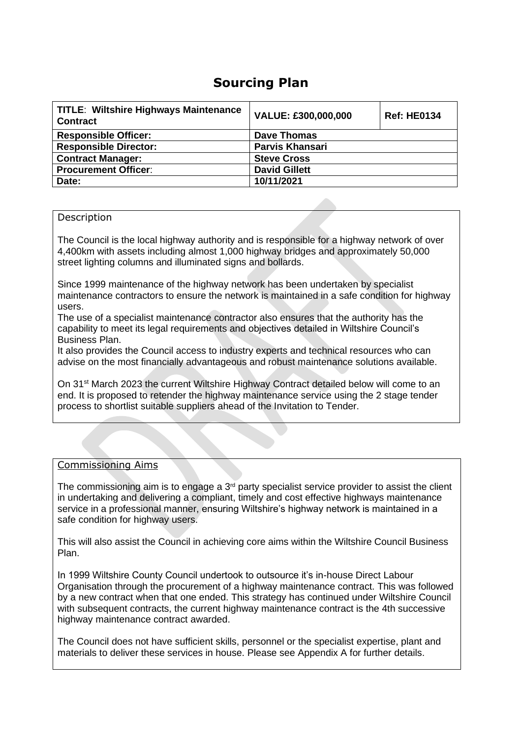# **Sourcing Plan**

| <b>Ref: HE0134</b> |
|--------------------|
|                    |
|                    |
|                    |
|                    |
|                    |
|                    |

#### Description

The Council is the local highway authority and is responsible for a highway network of over 4,400km with assets including almost 1,000 highway bridges and approximately 50,000 street lighting columns and illuminated signs and bollards.

Since 1999 maintenance of the highway network has been undertaken by specialist maintenance contractors to ensure the network is maintained in a safe condition for highway users.

The use of a specialist maintenance contractor also ensures that the authority has the capability to meet its legal requirements and objectives detailed in Wiltshire Council's Business Plan.

It also provides the Council access to industry experts and technical resources who can advise on the most financially advantageous and robust maintenance solutions available.

On 31<sup>st</sup> March 2023 the current Wiltshire Highway Contract detailed below will come to an end. It is proposed to retender the highway maintenance service using the 2 stage tender process to shortlist suitable suppliers ahead of the Invitation to Tender.

#### Commissioning Aims

The commissioning aim is to engage a  $3<sup>rd</sup>$  party specialist service provider to assist the client in undertaking and delivering a compliant, timely and cost effective highways maintenance service in a professional manner, ensuring Wiltshire's highway network is maintained in a safe condition for highway users.

This will also assist the Council in achieving core aims within the Wiltshire Council Business Plan.

In 1999 Wiltshire County Council undertook to outsource it's in-house Direct Labour Organisation through the procurement of a highway maintenance contract. This was followed by a new contract when that one ended. This strategy has continued under Wiltshire Council with subsequent contracts, the current highway maintenance contract is the 4th successive highway maintenance contract awarded.

The Council does not have sufficient skills, personnel or the specialist expertise, plant and materials to deliver these services in house. Please see Appendix A for further details.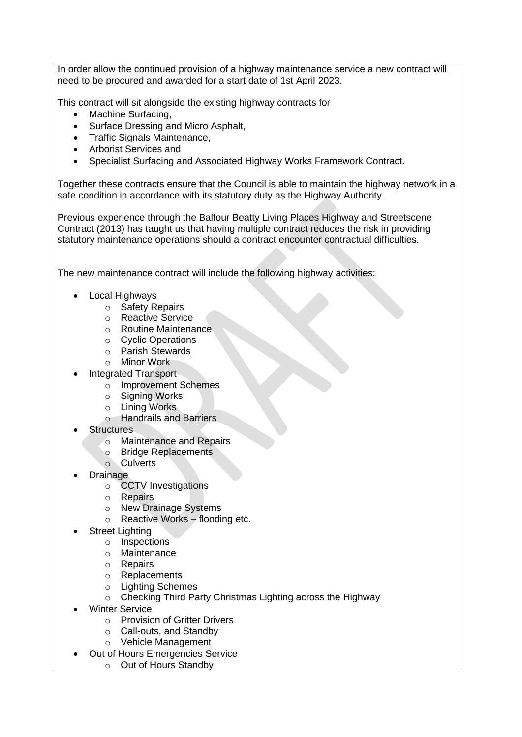In order allow the continued provision of a highway maintenance service a new contract will need to be procured and awarded for a start date of 1st April 2023.

This contract will sit alongside the existing highway contracts for

- Machine Surfacing,
- Surface Dressing and Micro Asphalt,
- Traffic Signals Maintenance,
- Arborist Services and
- Specialist Surfacing and Associated Highway Works Framework Contract.

Together these contracts ensure that the Council is able to maintain the highway network in a safe condition in accordance with its statutory duty as the Highway Authority.

Previous experience through the Balfour Beatty Living Places Highway and Streetscene Contract (2013) has taught us that having multiple contract reduces the risk in providing statutory maintenance operations should a contract encounter contractual difficulties.

The new maintenance contract will include the following highway activities:

- Local Highways
	- o Safety Repairs
	- o Reactive Service
	- o Routine Maintenance
	- o Cyclic Operations
	- o Parish Stewards
	- o Minor Work
- Integrated Transport
	- o Improvement Schemes
	- o Signing Works
	- o Lining Works
	- o Handrails and Barriers
- **Structures** 
	- o Maintenance and Repairs
	- o Bridge Replacements
	- o Culverts
- **Drainage** 
	- o CCTV Investigations
	- o Repairs
	- o New Drainage Systems
	- o Reactive Works flooding etc.
- **Street Lighting** 
	- o Inspections
	- o Maintenance
	- o Repairs
	- o Replacements
	- o Lighting Schemes
	- o Checking Third Party Christmas Lighting across the Highway
- **Winter Service** 
	- o Provision of Gritter Drivers
	- o Call-outs, and Standby
	- o Vehicle Management
- Out of Hours Emergencies Service
	- o Out of Hours Standby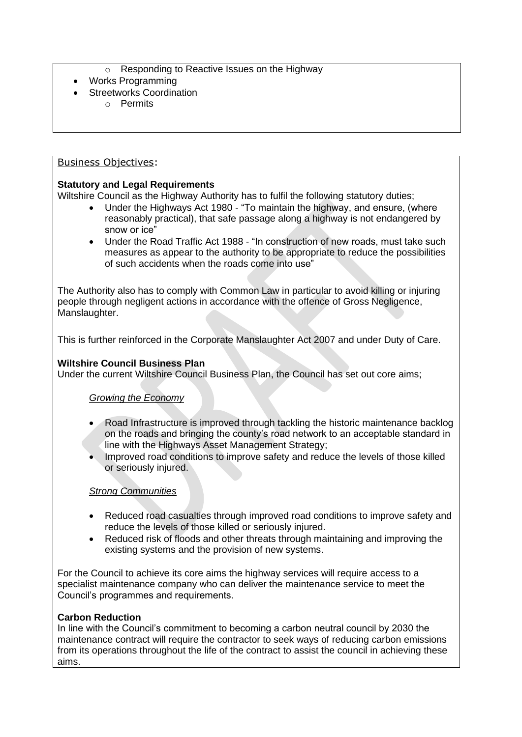- o Responding to Reactive Issues on the Highway
- Works Programming
- **Streetworks Coordination** 
	- o Permits

# Business Objectives:

#### **Statutory and Legal Requirements**

Wiltshire Council as the Highway Authority has to fulfil the following statutory duties;

- Under the Highways Act 1980 "To maintain the highway, and ensure, (where reasonably practical), that safe passage along a highway is not endangered by snow or ice"
- Under the Road Traffic Act 1988 "In construction of new roads, must take such measures as appear to the authority to be appropriate to reduce the possibilities of such accidents when the roads come into use"

The Authority also has to comply with Common Law in particular to avoid killing or injuring people through negligent actions in accordance with the offence of Gross Negligence, Manslaughter.

This is further reinforced in the Corporate Manslaughter Act 2007 and under Duty of Care.

# **Wiltshire Council Business Plan**

Under the current Wiltshire Council Business Plan, the Council has set out core aims;

# *Growing the Economy*

- Road Infrastructure is improved through tackling the historic maintenance backlog on the roads and bringing the county's road network to an acceptable standard in line with the Highways Asset Management Strategy;
- Improved road conditions to improve safety and reduce the levels of those killed or seriously injured.

#### *Strong Communities*

- Reduced road casualties through improved road conditions to improve safety and reduce the levels of those killed or seriously injured.
- Reduced risk of floods and other threats through maintaining and improving the existing systems and the provision of new systems.

For the Council to achieve its core aims the highway services will require access to a specialist maintenance company who can deliver the maintenance service to meet the Council's programmes and requirements.

#### **Carbon Reduction**

In line with the Council's commitment to becoming a carbon neutral council by 2030 the maintenance contract will require the contractor to seek ways of reducing carbon emissions from its operations throughout the life of the contract to assist the council in achieving these aims.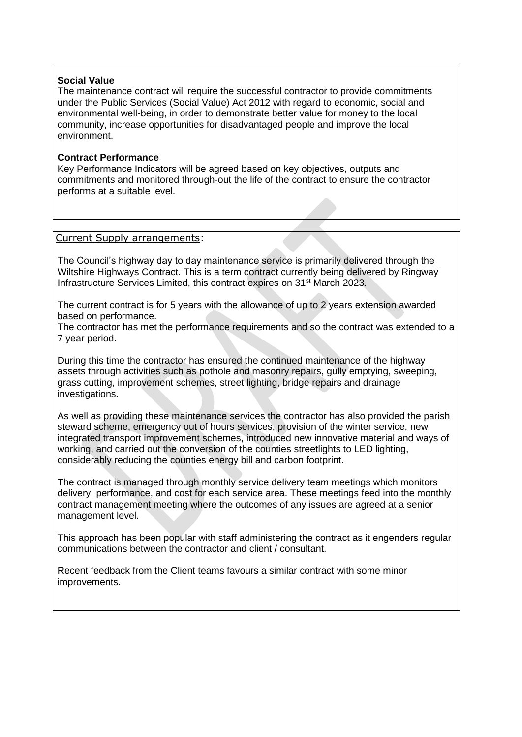#### **Social Value**

The maintenance contract will require the successful contractor to provide commitments under the Public Services (Social Value) Act 2012 with regard to economic, social and environmental well-being, in order to demonstrate better value for money to the local community, increase opportunities for disadvantaged people and improve the local environment.

#### **Contract Performance**

Key Performance Indicators will be agreed based on key objectives, outputs and commitments and monitored through-out the life of the contract to ensure the contractor performs at a suitable level.

#### Current Supply arrangements:

The Council's highway day to day maintenance service is primarily delivered through the Wiltshire Highways Contract. This is a term contract currently being delivered by Ringway Infrastructure Services Limited, this contract expires on 31<sup>st</sup> March 2023.

The current contract is for 5 years with the allowance of up to 2 years extension awarded based on performance.

The contractor has met the performance requirements and so the contract was extended to a 7 year period.

During this time the contractor has ensured the continued maintenance of the highway assets through activities such as pothole and masonry repairs, gully emptying, sweeping, grass cutting, improvement schemes, street lighting, bridge repairs and drainage investigations.

As well as providing these maintenance services the contractor has also provided the parish steward scheme, emergency out of hours services, provision of the winter service, new integrated transport improvement schemes, introduced new innovative material and ways of working, and carried out the conversion of the counties streetlights to LED lighting, considerably reducing the counties energy bill and carbon footprint.

The contract is managed through monthly service delivery team meetings which monitors delivery, performance, and cost for each service area. These meetings feed into the monthly contract management meeting where the outcomes of any issues are agreed at a senior management level.

This approach has been popular with staff administering the contract as it engenders regular communications between the contractor and client / consultant.

Recent feedback from the Client teams favours a similar contract with some minor improvements.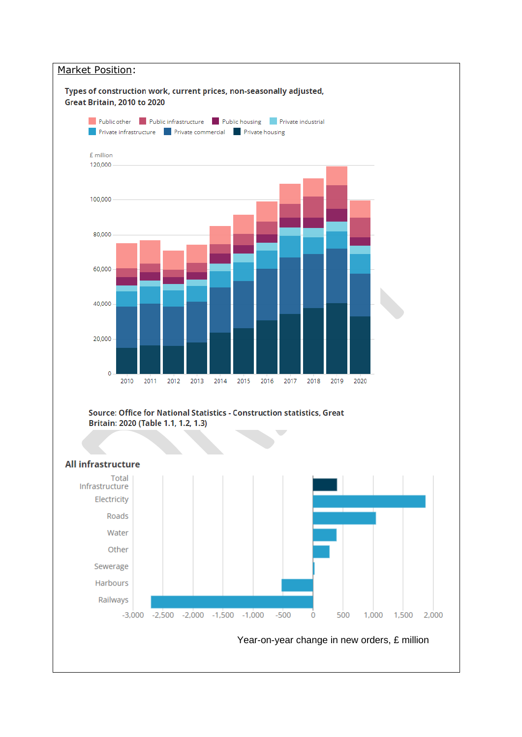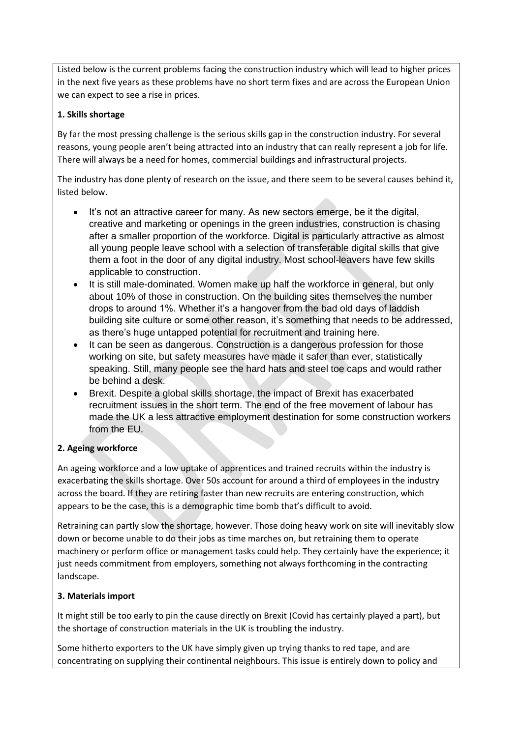Listed below is the current problems facing the construction industry which will lead to higher prices in the next five years as these problems have no short term fixes and are across the European Union we can expect to see a rise in prices.

## **1. Skills shortage**

By far the most pressing challenge is the serious skills gap in the construction industry. For several reasons, young people aren't being attracted into an industry that can really represent a job for life. There will always be a need for homes, commercial buildings and infrastructural projects.

The industry has done plenty of research on the issue, and there seem to be several causes behind it, listed below.

- It's not an attractive career for many. As new sectors emerge, be it the digital, creative and marketing or openings in the green industries, construction is chasing after a smaller proportion of the workforce. Digital is particularly attractive as almost all young people leave school with a selection of transferable digital skills that give them a foot in the door of any digital industry. Most school-leavers have few skills applicable to construction.
- It is still male-dominated. Women make up half the workforce in general, but only about 10% of those in construction. On the building sites themselves the number drops to around 1%. Whether it's a hangover from the bad old days of laddish building site culture or some other reason, it's something that needs to be addressed, as there's huge untapped potential for recruitment and training here.
- It can be seen as dangerous. Construction is a dangerous profession for those working on site, but safety measures have made it safer than ever, statistically speaking. Still, many people see the hard hats and steel toe caps and would rather be behind a desk.
- Brexit. Despite a global skills shortage, the impact of Brexit has exacerbated recruitment issues in the short term. The end of the free movement of labour has made the UK a less attractive employment destination for some construction workers from the EU.

# **2. Ageing workforce**

An ageing workforce and a low uptake of apprentices and trained recruits within the industry is exacerbating the skills shortage. Over 50s account for around a third of employees in the industry across the board. If they are retiring faster than new recruits are entering construction, which appears to be the case, this is a demographic time bomb that's difficult to avoid.

Retraining can partly slow the shortage, however. Those doing heavy work on site will inevitably slow down or become unable to do their jobs as time marches on, but retraining them to operate machinery or perform office or management tasks could help. They certainly have the experience; it just needs commitment from employers, something not always forthcoming in the contracting landscape.

#### **3. Materials import**

It might still be too early to pin the cause directly on Brexit (Covid has certainly played a part), but the shortage of construction materials in the UK is troubling the industry.

Some hitherto exporters to the UK have simply given up trying thanks to red tape, and are concentrating on supplying their continental neighbours. This issue is entirely down to policy and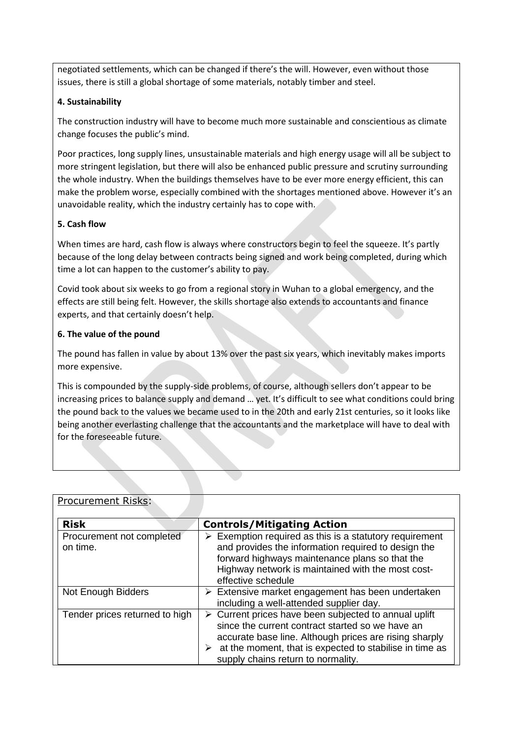negotiated settlements, which can be changed if there's the will. However, even without those issues, there is still a global shortage of some materials, notably timber and steel.

## **4. Sustainability**

The construction industry will have to become much more sustainable and conscientious as climate change focuses the public's mind.

Poor practices, long supply lines, unsustainable materials and high energy usage will all be subject to more stringent legislation, but there will also be enhanced public pressure and scrutiny surrounding the whole industry. When the buildings themselves have to be ever more energy efficient, this can make the problem worse, especially combined with the shortages mentioned above. However it's an unavoidable reality, which the industry certainly has to cope with.

## **5. Cash flow**

When times are hard, cash flow is always where constructors begin to feel the squeeze. It's partly because of the long delay between contracts being signed and work being completed, during which time a lot can happen to the customer's ability to pay.

Covid took about six weeks to go from a regional story in Wuhan to a global emergency, and the effects are still being felt. However, the skills shortage also extends to accountants and finance experts, and that certainly doesn't help.

#### **6. The value of the pound**

The pound has fallen in value by about 13% over the past six years, which inevitably makes imports more expensive.

This is compounded by the supply-side problems, of course, although sellers don't appear to be increasing prices to balance supply and demand … yet. It's difficult to see what conditions could bring the pound back to the values we became used to in the 20th and early 21st centuries, so it looks like being another everlasting challenge that the accountants and the marketplace will have to deal with for the foreseeable future.

| <u>LIULULEIIIEIIL INDNJ.</u>          |                                                                                                                                                                                                                                                                                                      |
|---------------------------------------|------------------------------------------------------------------------------------------------------------------------------------------------------------------------------------------------------------------------------------------------------------------------------------------------------|
| <b>Risk</b>                           | <b>Controls/Mitigating Action</b>                                                                                                                                                                                                                                                                    |
| Procurement not completed<br>on time. | $\triangleright$ Exemption required as this is a statutory requirement<br>and provides the information required to design the<br>forward highways maintenance plans so that the<br>Highway network is maintained with the most cost-<br>effective schedule                                           |
| Not Enough Bidders                    | $\triangleright$ Extensive market engagement has been undertaken<br>including a well-attended supplier day.                                                                                                                                                                                          |
| Tender prices returned to high        | $\triangleright$ Current prices have been subjected to annual uplift<br>since the current contract started so we have an<br>accurate base line. Although prices are rising sharply<br>$\triangleright$ at the moment, that is expected to stabilise in time as<br>supply chains return to normality. |

# **Procurement Risks:**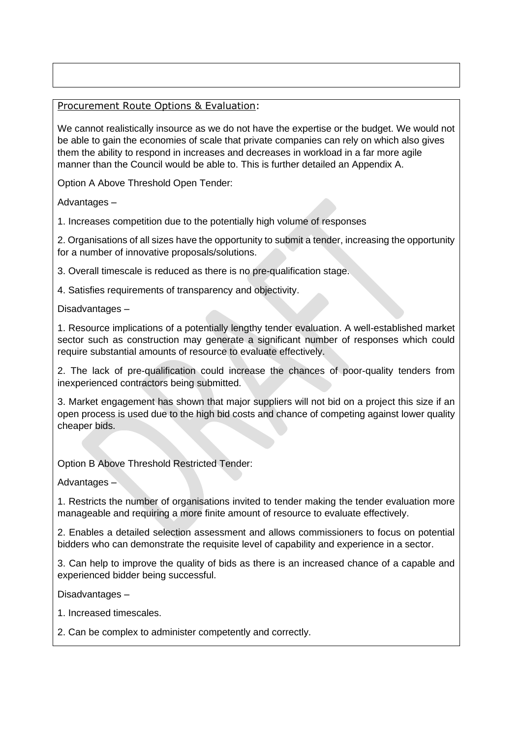# Procurement Route Options & Evaluation:

We cannot realistically insource as we do not have the expertise or the budget. We would not be able to gain the economies of scale that private companies can rely on which also gives them the ability to respond in increases and decreases in workload in a far more agile manner than the Council would be able to. This is further detailed an Appendix A.

Option A Above Threshold Open Tender:

Advantages –

1. Increases competition due to the potentially high volume of responses

2. Organisations of all sizes have the opportunity to submit a tender, increasing the opportunity for a number of innovative proposals/solutions.

3. Overall timescale is reduced as there is no pre-qualification stage.

4. Satisfies requirements of transparency and objectivity.

Disadvantages –

1. Resource implications of a potentially lengthy tender evaluation. A well-established market sector such as construction may generate a significant number of responses which could require substantial amounts of resource to evaluate effectively.

2. The lack of pre-qualification could increase the chances of poor-quality tenders from inexperienced contractors being submitted.

3. Market engagement has shown that major suppliers will not bid on a project this size if an open process is used due to the high bid costs and chance of competing against lower quality cheaper bids.

Option B Above Threshold Restricted Tender:

Advantages –

1. Restricts the number of organisations invited to tender making the tender evaluation more manageable and requiring a more finite amount of resource to evaluate effectively.

2. Enables a detailed selection assessment and allows commissioners to focus on potential bidders who can demonstrate the requisite level of capability and experience in a sector.

3. Can help to improve the quality of bids as there is an increased chance of a capable and experienced bidder being successful.

Disadvantages –

1. Increased timescales.

2. Can be complex to administer competently and correctly.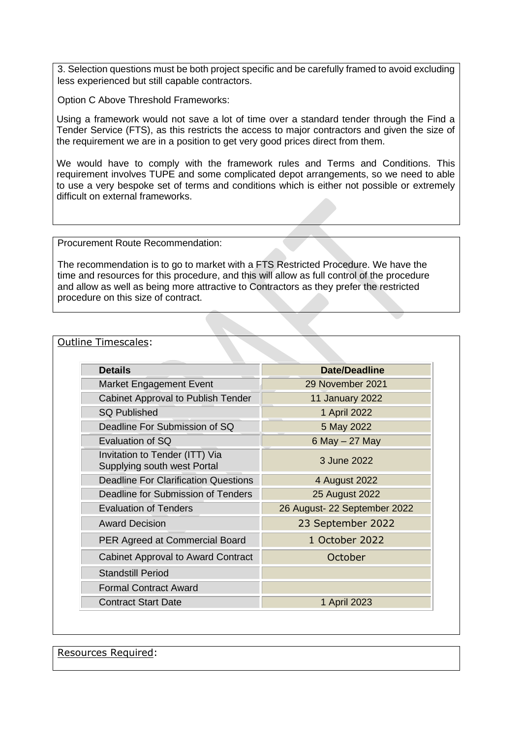3. Selection questions must be both project specific and be carefully framed to avoid excluding less experienced but still capable contractors.

Option C Above Threshold Frameworks:

Using a framework would not save a lot of time over a standard tender through the Find a Tender Service (FTS), as this restricts the access to major contractors and given the size of the requirement we are in a position to get very good prices direct from them.

We would have to comply with the framework rules and Terms and Conditions. This requirement involves TUPE and some complicated depot arrangements, so we need to able to use a very bespoke set of terms and conditions which is either not possible or extremely difficult on external frameworks.

Procurement Route Recommendation:

The recommendation is to go to market with a FTS Restricted Procedure. We have the time and resources for this procedure, and this will allow as full control of the procedure and allow as well as being more attractive to Contractors as they prefer the restricted procedure on this size of contract.

#### Outline Timescales:

| <b>Details</b>                                                | Date/Deadline                |
|---------------------------------------------------------------|------------------------------|
| Market Engagement Event                                       | 29 November 2021             |
| Cabinet Approval to Publish Tender                            | 11 January 2022              |
| <b>SQ Published</b>                                           | 1 April 2022                 |
| Deadline For Submission of SQ                                 | 5 May 2022                   |
| Evaluation of SQ                                              | 6 May $-27$ May              |
| Invitation to Tender (ITT) Via<br>Supplying south west Portal | 3 June 2022                  |
| <b>Deadline For Clarification Questions</b>                   | 4 August 2022                |
| Deadline for Submission of Tenders                            | 25 August 2022               |
| <b>Evaluation of Tenders</b>                                  | 26 August- 22 September 2022 |
| <b>Award Decision</b>                                         | 23 September 2022            |
| PER Agreed at Commercial Board                                | 1 October 2022               |
| <b>Cabinet Approval to Award Contract</b>                     | October                      |
| <b>Standstill Period</b>                                      |                              |
| <b>Formal Contract Award</b>                                  |                              |
| <b>Contract Start Date</b>                                    | 1 April 2023                 |

Resources Required: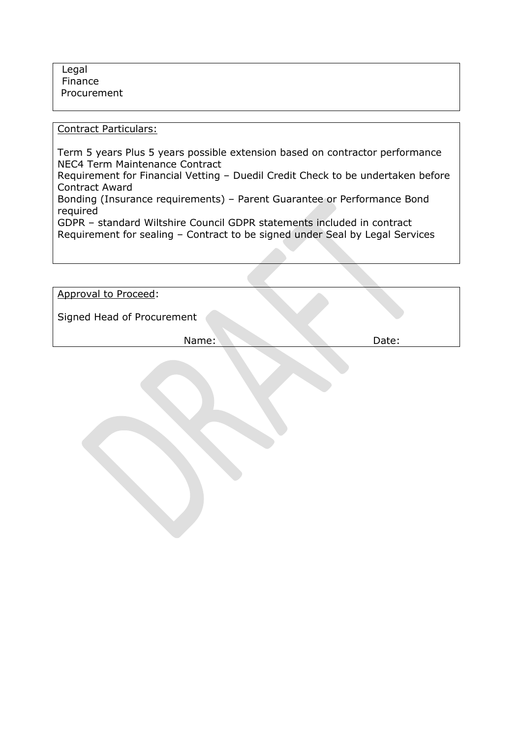Legal Finance Procurement

Contract Particulars:

Term 5 years Plus 5 years possible extension based on contractor performance NEC4 Term Maintenance Contract Requirement for Financial Vetting – Duedil Credit Check to be undertaken before Contract Award Bonding (Insurance requirements) – Parent Guarantee or Performance Bond required GDPR – standard Wiltshire Council GDPR statements included in contract Requirement for sealing – Contract to be signed under Seal by Legal Services

| Approval to Proceed:       |       |
|----------------------------|-------|
| Signed Head of Procurement |       |
| Name:                      | Date: |
|                            |       |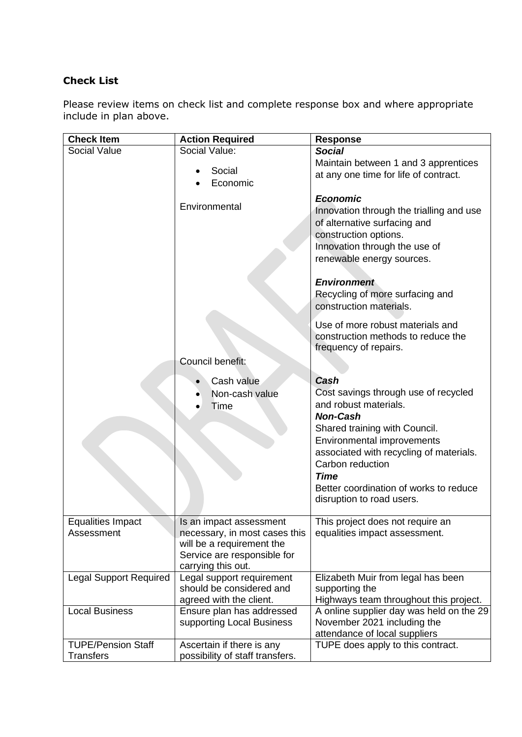# **Check List**

Please review items on check list and complete response box and where appropriate include in plan above.

| <b>Check Item</b>             | <b>Action Required</b>                                | <b>Response</b>                                      |
|-------------------------------|-------------------------------------------------------|------------------------------------------------------|
| Social Value                  | Social Value:                                         | <b>Social</b>                                        |
|                               | Social                                                | Maintain between 1 and 3 apprentices                 |
|                               | Economic                                              | at any one time for life of contract.                |
|                               |                                                       |                                                      |
|                               | Environmental                                         | <b>Economic</b>                                      |
|                               |                                                       | Innovation through the trialling and use             |
|                               |                                                       | of alternative surfacing and                         |
|                               |                                                       | construction options.                                |
|                               |                                                       | Innovation through the use of                        |
|                               |                                                       | renewable energy sources.                            |
|                               |                                                       | <b>Environment</b>                                   |
|                               |                                                       | Recycling of more surfacing and                      |
|                               |                                                       | construction materials.                              |
|                               |                                                       |                                                      |
|                               |                                                       | Use of more robust materials and                     |
|                               |                                                       | construction methods to reduce the                   |
|                               |                                                       | frequency of repairs.                                |
|                               | Council benefit:                                      |                                                      |
|                               | Cash value                                            | Cash                                                 |
|                               | Non-cash value                                        | Cost savings through use of recycled                 |
|                               | Time                                                  | and robust materials.                                |
|                               |                                                       | <b>Non-Cash</b>                                      |
|                               |                                                       | Shared training with Council.                        |
|                               |                                                       | Environmental improvements                           |
|                               |                                                       | associated with recycling of materials.              |
|                               |                                                       | Carbon reduction                                     |
|                               |                                                       | <b>Time</b>                                          |
|                               |                                                       | Better coordination of works to reduce               |
|                               |                                                       | disruption to road users.                            |
| <b>Equalities Impact</b>      | Is an impact assessment                               | This project does not require an                     |
| Assessment                    | necessary, in most cases this                         | equalities impact assessment.                        |
|                               | will be a requirement the                             |                                                      |
|                               | Service are responsible for                           |                                                      |
|                               | carrying this out.                                    |                                                      |
| <b>Legal Support Required</b> | Legal support requirement<br>should be considered and | Elizabeth Muir from legal has been<br>supporting the |
|                               | agreed with the client.                               | Highways team throughout this project.               |
| <b>Local Business</b>         | Ensure plan has addressed                             | A online supplier day was held on the 29             |
|                               | supporting Local Business                             | November 2021 including the                          |
|                               |                                                       | attendance of local suppliers                        |
| <b>TUPE/Pension Staff</b>     | Ascertain if there is any                             | TUPE does apply to this contract.                    |
| <b>Transfers</b>              | possibility of staff transfers.                       |                                                      |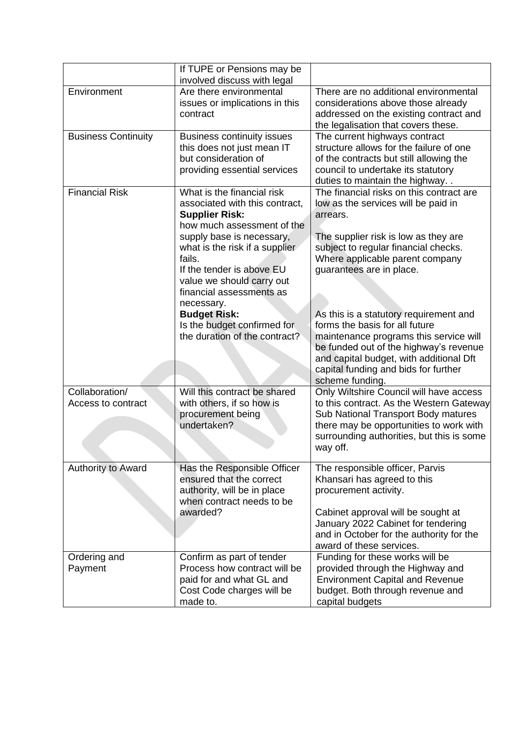|                                      | If TUPE or Pensions may be<br>involved discuss with legal                                                                                                                                                                                                                                                                                                                               |                                                                                                                                                                                                                                                                                                                                                                                                                                                                                                                  |
|--------------------------------------|-----------------------------------------------------------------------------------------------------------------------------------------------------------------------------------------------------------------------------------------------------------------------------------------------------------------------------------------------------------------------------------------|------------------------------------------------------------------------------------------------------------------------------------------------------------------------------------------------------------------------------------------------------------------------------------------------------------------------------------------------------------------------------------------------------------------------------------------------------------------------------------------------------------------|
| Environment                          | Are there environmental<br>issues or implications in this<br>contract                                                                                                                                                                                                                                                                                                                   | There are no additional environmental<br>considerations above those already<br>addressed on the existing contract and<br>the legalisation that covers these.                                                                                                                                                                                                                                                                                                                                                     |
| <b>Business Continuity</b>           | <b>Business continuity issues</b><br>this does not just mean IT<br>but consideration of<br>providing essential services                                                                                                                                                                                                                                                                 | The current highways contract<br>structure allows for the failure of one<br>of the contracts but still allowing the<br>council to undertake its statutory<br>duties to maintain the highway                                                                                                                                                                                                                                                                                                                      |
| <b>Financial Risk</b>                | What is the financial risk<br>associated with this contract,<br><b>Supplier Risk:</b><br>how much assessment of the<br>supply base is necessary,<br>what is the risk if a supplier<br>fails.<br>If the tender is above EU<br>value we should carry out<br>financial assessments as<br>necessary.<br><b>Budget Risk:</b><br>Is the budget confirmed for<br>the duration of the contract? | The financial risks on this contract are<br>low as the services will be paid in<br>arrears.<br>The supplier risk is low as they are<br>subject to regular financial checks.<br>Where applicable parent company<br>guarantees are in place.<br>As this is a statutory requirement and<br>forms the basis for all future<br>maintenance programs this service will<br>be funded out of the highway's revenue<br>and capital budget, with additional Dft<br>capital funding and bids for further<br>scheme funding. |
| Collaboration/<br>Access to contract | Will this contract be shared<br>with others, if so how is<br>procurement being<br>undertaken?                                                                                                                                                                                                                                                                                           | Only Wiltshire Council will have access<br>to this contract. As the Western Gateway<br>Sub National Transport Body matures<br>there may be opportunities to work with<br>surrounding authorities, but this is some<br>way off.                                                                                                                                                                                                                                                                                   |
| Authority to Award                   | Has the Responsible Officer<br>ensured that the correct<br>authority, will be in place<br>when contract needs to be<br>awarded?                                                                                                                                                                                                                                                         | The responsible officer, Parvis<br>Khansari has agreed to this<br>procurement activity.<br>Cabinet approval will be sought at<br>January 2022 Cabinet for tendering<br>and in October for the authority for the<br>award of these services.                                                                                                                                                                                                                                                                      |
| Ordering and<br>Payment              | Confirm as part of tender<br>Process how contract will be<br>paid for and what GL and<br>Cost Code charges will be<br>made to.                                                                                                                                                                                                                                                          | Funding for these works will be<br>provided through the Highway and<br><b>Environment Capital and Revenue</b><br>budget. Both through revenue and<br>capital budgets                                                                                                                                                                                                                                                                                                                                             |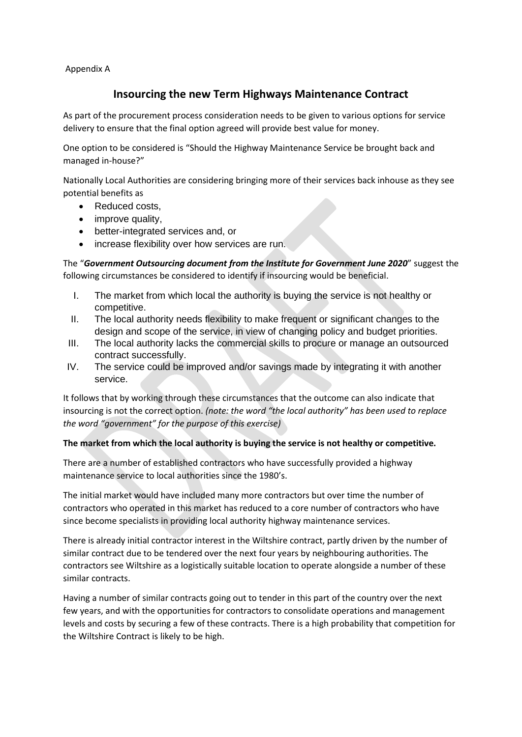Appendix A

# **Insourcing the new Term Highways Maintenance Contract**

As part of the procurement process consideration needs to be given to various options for service delivery to ensure that the final option agreed will provide best value for money.

One option to be considered is "Should the Highway Maintenance Service be brought back and managed in-house?"

Nationally Local Authorities are considering bringing more of their services back inhouse as they see potential benefits as

- Reduced costs,
- improve quality,
- better-integrated services and, or
- increase flexibility over how services are run.

The "*Government Outsourcing document from the Institute for Government June 2020*" suggest the following circumstances be considered to identify if insourcing would be beneficial.

- I. The market from which local the authority is buying the service is not healthy or competitive.
- II. The local authority needs flexibility to make frequent or significant changes to the design and scope of the service, in view of changing policy and budget priorities.
- III. The local authority lacks the commercial skills to procure or manage an outsourced contract successfully.
- IV. The service could be improved and/or savings made by integrating it with another service.

It follows that by working through these circumstances that the outcome can also indicate that insourcing is not the correct option. *(note: the word "the local authority" has been used to replace the word "government" for the purpose of this exercise)*

#### **The market from which the local authority is buying the service is not healthy or competitive.**

There are a number of established contractors who have successfully provided a highway maintenance service to local authorities since the 1980's.

The initial market would have included many more contractors but over time the number of contractors who operated in this market has reduced to a core number of contractors who have since become specialists in providing local authority highway maintenance services.

There is already initial contractor interest in the Wiltshire contract, partly driven by the number of similar contract due to be tendered over the next four years by neighbouring authorities. The contractors see Wiltshire as a logistically suitable location to operate alongside a number of these similar contracts.

Having a number of similar contracts going out to tender in this part of the country over the next few years, and with the opportunities for contractors to consolidate operations and management levels and costs by securing a few of these contracts. There is a high probability that competition for the Wiltshire Contract is likely to be high.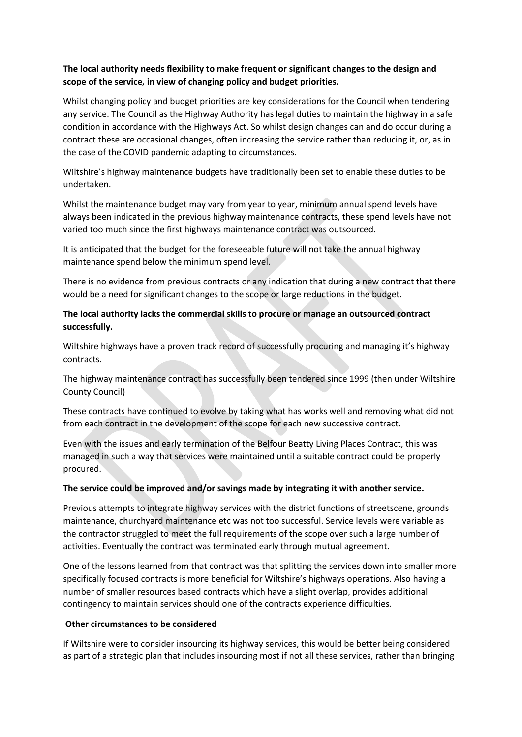## **The local authority needs flexibility to make frequent or significant changes to the design and scope of the service, in view of changing policy and budget priorities.**

Whilst changing policy and budget priorities are key considerations for the Council when tendering any service. The Council as the Highway Authority has legal duties to maintain the highway in a safe condition in accordance with the Highways Act. So whilst design changes can and do occur during a contract these are occasional changes, often increasing the service rather than reducing it, or, as in the case of the COVID pandemic adapting to circumstances.

Wiltshire's highway maintenance budgets have traditionally been set to enable these duties to be undertaken.

Whilst the maintenance budget may vary from year to year, minimum annual spend levels have always been indicated in the previous highway maintenance contracts, these spend levels have not varied too much since the first highways maintenance contract was outsourced.

It is anticipated that the budget for the foreseeable future will not take the annual highway maintenance spend below the minimum spend level.

There is no evidence from previous contracts or any indication that during a new contract that there would be a need for significant changes to the scope or large reductions in the budget.

#### **The local authority lacks the commercial skills to procure or manage an outsourced contract successfully.**

Wiltshire highways have a proven track record of successfully procuring and managing it's highway contracts.

The highway maintenance contract has successfully been tendered since 1999 (then under Wiltshire County Council)

These contracts have continued to evolve by taking what has works well and removing what did not from each contract in the development of the scope for each new successive contract.

Even with the issues and early termination of the Belfour Beatty Living Places Contract, this was managed in such a way that services were maintained until a suitable contract could be properly procured.

#### **The service could be improved and/or savings made by integrating it with another service.**

Previous attempts to integrate highway services with the district functions of streetscene, grounds maintenance, churchyard maintenance etc was not too successful. Service levels were variable as the contractor struggled to meet the full requirements of the scope over such a large number of activities. Eventually the contract was terminated early through mutual agreement.

One of the lessons learned from that contract was that splitting the services down into smaller more specifically focused contracts is more beneficial for Wiltshire's highways operations. Also having a number of smaller resources based contracts which have a slight overlap, provides additional contingency to maintain services should one of the contracts experience difficulties.

#### **Other circumstances to be considered**

If Wiltshire were to consider insourcing its highway services, this would be better being considered as part of a strategic plan that includes insourcing most if not all these services, rather than bringing